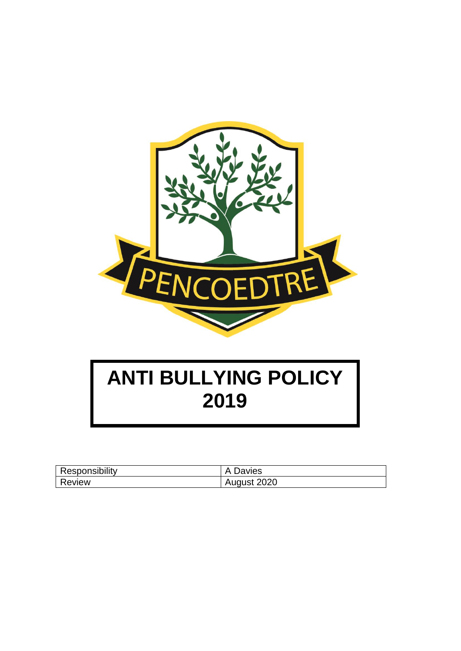

# **ANTI BULLYING POLICY 2019**

| Responsibility | A Davies    |
|----------------|-------------|
| Review         | August 2020 |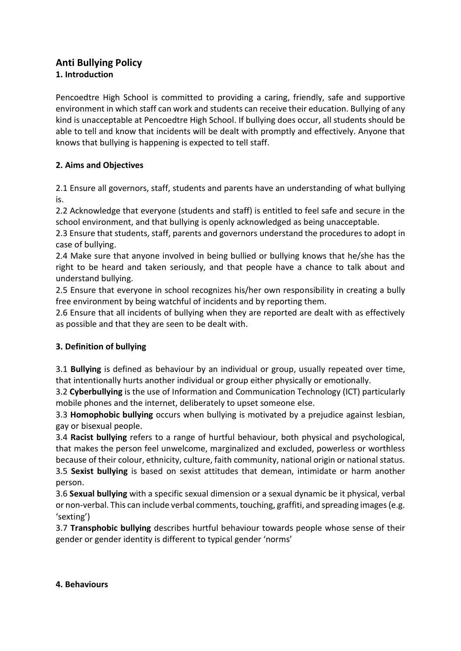## **Anti Bullying Policy 1. Introduction**

Pencoedtre High School is committed to providing a caring, friendly, safe and supportive environment in which staff can work and students can receive their education. Bullying of any kind is unacceptable at Pencoedtre High School. If bullying does occur, all students should be able to tell and know that incidents will be dealt with promptly and effectively. Anyone that knows that bullying is happening is expected to tell staff.

# **2. Aims and Objectives**

2.1 Ensure all governors, staff, students and parents have an understanding of what bullying is.

2.2 Acknowledge that everyone (students and staff) is entitled to feel safe and secure in the school environment, and that bullying is openly acknowledged as being unacceptable.

2.3 Ensure that students, staff, parents and governors understand the procedures to adopt in case of bullying.

2.4 Make sure that anyone involved in being bullied or bullying knows that he/she has the right to be heard and taken seriously, and that people have a chance to talk about and understand bullying.

2.5 Ensure that everyone in school recognizes his/her own responsibility in creating a bully free environment by being watchful of incidents and by reporting them.

2.6 Ensure that all incidents of bullying when they are reported are dealt with as effectively as possible and that they are seen to be dealt with.

# **3. Definition of bullying**

3.1 **Bullying** is defined as behaviour by an individual or group, usually repeated over time, that intentionally hurts another individual or group either physically or emotionally.

3.2 **Cyberbullying** is the use of Information and Communication Technology (ICT) particularly mobile phones and the internet, deliberately to upset someone else.

3.3 **Homophobic bullying** occurs when bullying is motivated by a prejudice against lesbian, gay or bisexual people.

3.4 **Racist bullying** refers to a range of hurtful behaviour, both physical and psychological, that makes the person feel unwelcome, marginalized and excluded, powerless or worthless because of their colour, ethnicity, culture, faith community, national origin or national status. 3.5 **Sexist bullying** is based on sexist attitudes that demean, intimidate or harm another person.

3.6 **Sexual bullying** with a specific sexual dimension or a sexual dynamic be it physical, verbal or non-verbal. This can include verbal comments, touching, graffiti, and spreading images (e.g. 'sexting')

3.7 **Transphobic bullying** describes hurtful behaviour towards people whose sense of their gender or gender identity is different to typical gender 'norms'

#### **4. Behaviours**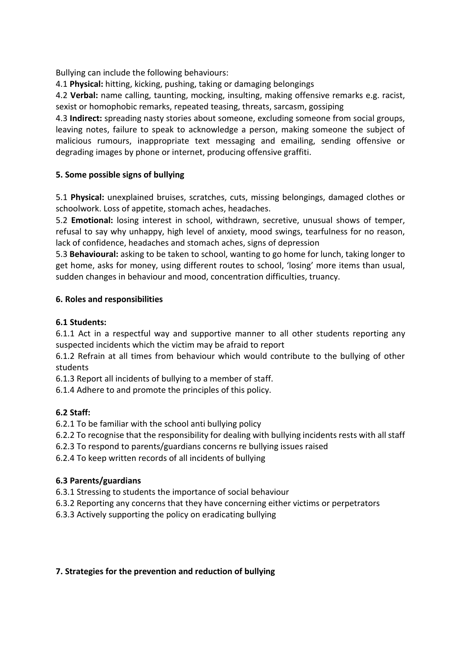Bullying can include the following behaviours:

4.1 **Physical:** hitting, kicking, pushing, taking or damaging belongings

4.2 **Verbal:** name calling, taunting, mocking, insulting, making offensive remarks e.g. racist, sexist or homophobic remarks, repeated teasing, threats, sarcasm, gossiping

4.3 **Indirect:** spreading nasty stories about someone, excluding someone from social groups, leaving notes, failure to speak to acknowledge a person, making someone the subject of malicious rumours, inappropriate text messaging and emailing, sending offensive or degrading images by phone or internet, producing offensive graffiti.

## **5. Some possible signs of bullying**

5.1 **Physical:** unexplained bruises, scratches, cuts, missing belongings, damaged clothes or schoolwork. Loss of appetite, stomach aches, headaches.

5.2 **Emotional:** losing interest in school, withdrawn, secretive, unusual shows of temper, refusal to say why unhappy, high level of anxiety, mood swings, tearfulness for no reason, lack of confidence, headaches and stomach aches, signs of depression

5.3 **Behavioural:** asking to be taken to school, wanting to go home for lunch, taking longer to get home, asks for money, using different routes to school, 'losing' more items than usual, sudden changes in behaviour and mood, concentration difficulties, truancy.

## **6. Roles and responsibilities**

## **6.1 Students:**

6.1.1 Act in a respectful way and supportive manner to all other students reporting any suspected incidents which the victim may be afraid to report

6.1.2 Refrain at all times from behaviour which would contribute to the bullying of other students

6.1.3 Report all incidents of bullying to a member of staff.

6.1.4 Adhere to and promote the principles of this policy.

# **6.2 Staff:**

6.2.1 To be familiar with the school anti bullying policy

6.2.2 To recognise that the responsibility for dealing with bullying incidents rests with all staff

6.2.3 To respond to parents/guardians concerns re bullying issues raised

6.2.4 To keep written records of all incidents of bullying

## **6.3 Parents/guardians**

6.3.1 Stressing to students the importance of social behaviour

6.3.2 Reporting any concerns that they have concerning either victims or perpetrators

6.3.3 Actively supporting the policy on eradicating bullying

## **7. Strategies for the prevention and reduction of bullying**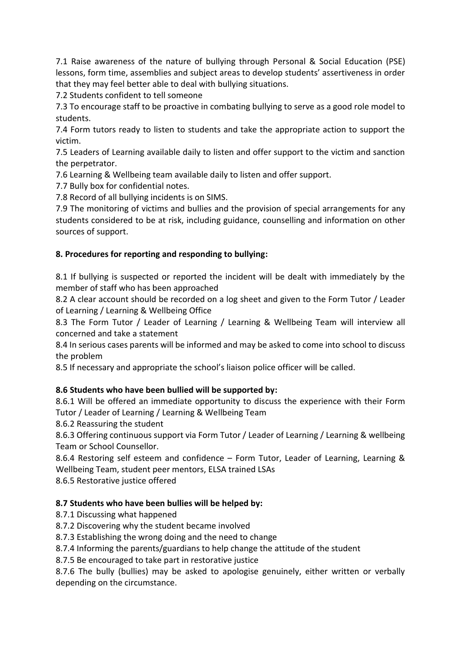7.1 Raise awareness of the nature of bullying through Personal & Social Education (PSE) lessons, form time, assemblies and subject areas to develop students' assertiveness in order that they may feel better able to deal with bullying situations.

7.2 Students confident to tell someone

7.3 To encourage staff to be proactive in combating bullying to serve as a good role model to students.

7.4 Form tutors ready to listen to students and take the appropriate action to support the victim.

7.5 Leaders of Learning available daily to listen and offer support to the victim and sanction the perpetrator.

7.6 Learning & Wellbeing team available daily to listen and offer support.

7.7 Bully box for confidential notes.

7.8 Record of all bullying incidents is on SIMS.

7.9 The monitoring of victims and bullies and the provision of special arrangements for any students considered to be at risk, including guidance, counselling and information on other sources of support.

## **8. Procedures for reporting and responding to bullying:**

8.1 If bullying is suspected or reported the incident will be dealt with immediately by the member of staff who has been approached

8.2 A clear account should be recorded on a log sheet and given to the Form Tutor / Leader of Learning / Learning & Wellbeing Office

8.3 The Form Tutor / Leader of Learning / Learning & Wellbeing Team will interview all concerned and take a statement

8.4 In serious cases parents will be informed and may be asked to come into school to discuss the problem

8.5 If necessary and appropriate the school's liaison police officer will be called.

# **8.6 Students who have been bullied will be supported by:**

8.6.1 Will be offered an immediate opportunity to discuss the experience with their Form Tutor / Leader of Learning / Learning & Wellbeing Team

8.6.2 Reassuring the student

8.6.3 Offering continuous support via Form Tutor / Leader of Learning / Learning & wellbeing Team or School Counsellor.

8.6.4 Restoring self esteem and confidence – Form Tutor, Leader of Learning, Learning & Wellbeing Team, student peer mentors, ELSA trained LSAs

8.6.5 Restorative justice offered

# **8.7 Students who have been bullies will be helped by:**

8.7.1 Discussing what happened

8.7.2 Discovering why the student became involved

8.7.3 Establishing the wrong doing and the need to change

8.7.4 Informing the parents/guardians to help change the attitude of the student

8.7.5 Be encouraged to take part in restorative justice

8.7.6 The bully (bullies) may be asked to apologise genuinely, either written or verbally depending on the circumstance.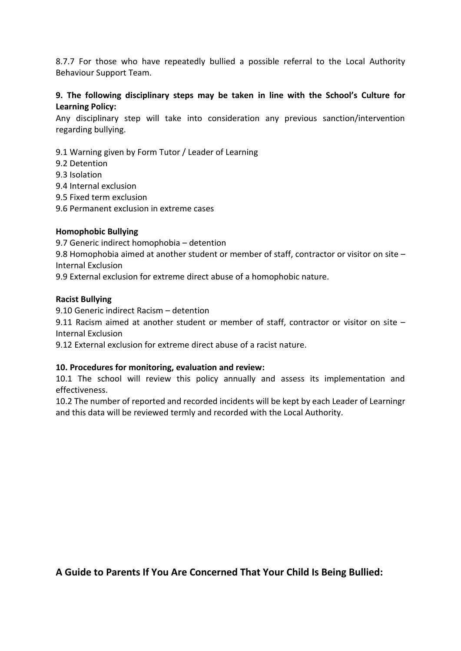8.7.7 For those who have repeatedly bullied a possible referral to the Local Authority Behaviour Support Team.

#### **9. The following disciplinary steps may be taken in line with the School's Culture for Learning Policy:**

Any disciplinary step will take into consideration any previous sanction/intervention regarding bullying.

- 9.1 Warning given by Form Tutor / Leader of Learning
- 9.2 Detention
- 9.3 Isolation
- 9.4 Internal exclusion
- 9.5 Fixed term exclusion
- 9.6 Permanent exclusion in extreme cases

#### **Homophobic Bullying**

9.7 Generic indirect homophobia – detention

9.8 Homophobia aimed at another student or member of staff, contractor or visitor on site – Internal Exclusion

9.9 External exclusion for extreme direct abuse of a homophobic nature.

#### **Racist Bullying**

9.10 Generic indirect Racism – detention

9.11 Racism aimed at another student or member of staff, contractor or visitor on site – Internal Exclusion

9.12 External exclusion for extreme direct abuse of a racist nature.

#### **10. Procedures for monitoring, evaluation and review:**

10.1 The school will review this policy annually and assess its implementation and effectiveness.

10.2 The number of reported and recorded incidents will be kept by each Leader of Learningr and this data will be reviewed termly and recorded with the Local Authority.

**A Guide to Parents If You Are Concerned That Your Child Is Being Bullied:**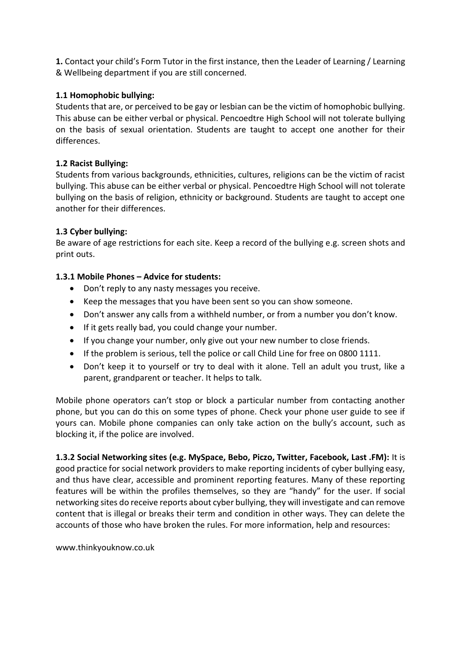**1.** Contact your child's Form Tutor in the first instance, then the Leader of Learning / Learning & Wellbeing department if you are still concerned.

#### **1.1 Homophobic bullying:**

Students that are, or perceived to be gay or lesbian can be the victim of homophobic bullying. This abuse can be either verbal or physical. Pencoedtre High School will not tolerate bullying on the basis of sexual orientation. Students are taught to accept one another for their differences.

#### **1.2 Racist Bullying:**

Students from various backgrounds, ethnicities, cultures, religions can be the victim of racist bullying. This abuse can be either verbal or physical. Pencoedtre High School will not tolerate bullying on the basis of religion, ethnicity or background. Students are taught to accept one another for their differences.

#### **1.3 Cyber bullying:**

Be aware of age restrictions for each site. Keep a record of the bullying e.g. screen shots and print outs.

#### **1.3.1 Mobile Phones – Advice for students:**

- Don't reply to any nasty messages you receive.
- Keep the messages that you have been sent so you can show someone.
- Don't answer any calls from a withheld number, or from a number you don't know.
- If it gets really bad, you could change your number.
- If you change your number, only give out your new number to close friends.
- If the problem is serious, tell the police or call Child Line for free on 0800 1111.
- Don't keep it to yourself or try to deal with it alone. Tell an adult you trust, like a parent, grandparent or teacher. It helps to talk.

Mobile phone operators can't stop or block a particular number from contacting another phone, but you can do this on some types of phone. Check your phone user guide to see if yours can. Mobile phone companies can only take action on the bully's account, such as blocking it, if the police are involved.

**1.3.2 Social Networking sites (e.g. MySpace, Bebo, Piczo, Twitter, Facebook, Last .FM):** It is good practice for social network providers to make reporting incidents of cyber bullying easy, and thus have clear, accessible and prominent reporting features. Many of these reporting features will be within the profiles themselves, so they are "handy" for the user. If social networking sites do receive reports about cyber bullying, they will investigate and can remove content that is illegal or breaks their term and condition in other ways. They can delete the accounts of those who have broken the rules. For more information, help and resources:

www.thinkyouknow.co.uk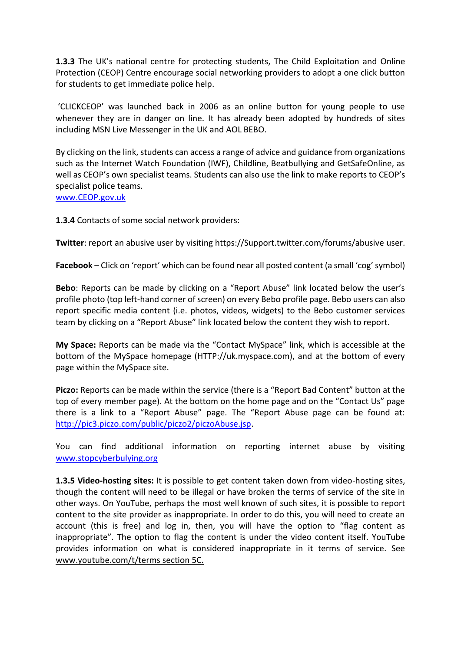**1.3.3** The UK's national centre for protecting students, The Child Exploitation and Online Protection (CEOP) Centre encourage social networking providers to adopt a one click button for students to get immediate police help.

'CLICKCEOP' was launched back in 2006 as an online button for young people to use whenever they are in danger on line. It has already been adopted by hundreds of sites including MSN Live Messenger in the UK and AOL BEBO.

By clicking on the link, students can access a range of advice and guidance from organizations such as the Internet Watch Foundation (IWF), Childline, Beatbullying and GetSafeOnline, as well as CEOP's own specialist teams. Students can also use the link to make reports to CEOP's specialist police teams.

[www.CEOP.gov.uk](http://www.ceop.gov.uk/)

**1.3.4** Contacts of some social network providers:

**Twitter**: report an abusive user by visiting https://Support.twitter.com/forums/abusive user.

**Facebook** – Click on 'report' which can be found near all posted content (a small 'cog' symbol)

**Bebo**: Reports can be made by clicking on a "Report Abuse" link located below the user's profile photo (top left-hand corner of screen) on every Bebo profile page. Bebo users can also report specific media content (i.e. photos, videos, widgets) to the Bebo customer services team by clicking on a "Report Abuse" link located below the content they wish to report.

**My Space:** Reports can be made via the "Contact MySpace" link, which is accessible at the bottom of the MySpace homepage (HTTP://uk.myspace.com), and at the bottom of every page within the MySpace site.

**Piczo:** Reports can be made within the service (there is a "Report Bad Content" button at the top of every member page). At the bottom on the home page and on the "Contact Us" page there is a link to a "Report Abuse" page. The "Report Abuse page can be found at: [http://pic3.piczo.com/public/piczo2/piczoAbuse.jsp.](http://pic3.piczo.com/public/piczo2/piczoAbuse.jsp)

You can find additional information on reporting internet abuse by visiting [www.stopcyberbulying.org](http://www.stopcyberbulying.org/)

**1.3.5 Video-hosting sites:** It is possible to get content taken down from video-hosting sites, though the content will need to be illegal or have broken the terms of service of the site in other ways. On YouTube, perhaps the most well known of such sites, it is possible to report content to the site provider as inappropriate. In order to do this, you will need to create an account (this is free) and log in, then, you will have the option to "flag content as inappropriate". The option to flag the content is under the video content itself. YouTube provides information on what is considered inappropriate in it terms of service. See www.youtube.com/t/terms section 5C.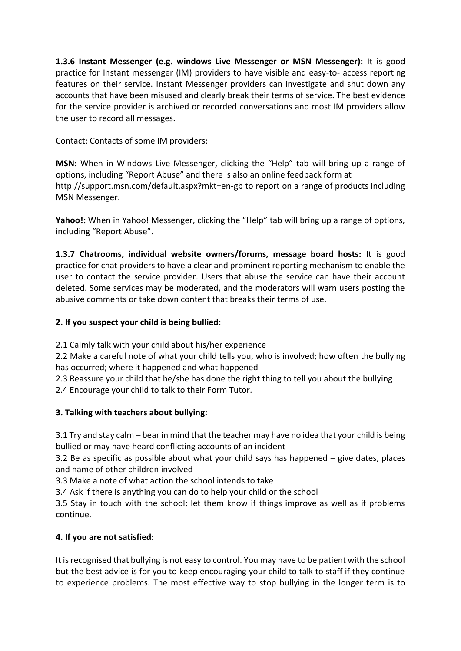**1.3.6 Instant Messenger (e.g. windows Live Messenger or MSN Messenger):** It is good practice for Instant messenger (IM) providers to have visible and easy-to- access reporting features on their service. Instant Messenger providers can investigate and shut down any accounts that have been misused and clearly break their terms of service. The best evidence for the service provider is archived or recorded conversations and most IM providers allow the user to record all messages.

Contact: Contacts of some IM providers:

**MSN:** When in Windows Live Messenger, clicking the "Help" tab will bring up a range of options, including "Report Abuse" and there is also an online feedback form at http://support.msn.com/default.aspx?mkt=en-gb to report on a range of products including MSN Messenger.

Yahoo!: When in Yahoo! Messenger, clicking the "Help" tab will bring up a range of options, including "Report Abuse".

**1.3.7 Chatrooms, individual website owners/forums, message board hosts:** It is good practice for chat providers to have a clear and prominent reporting mechanism to enable the user to contact the service provider. Users that abuse the service can have their account deleted. Some services may be moderated, and the moderators will warn users posting the abusive comments or take down content that breaks their terms of use.

## **2. If you suspect your child is being bullied:**

2.1 Calmly talk with your child about his/her experience

2.2 Make a careful note of what your child tells you, who is involved; how often the bullying has occurred; where it happened and what happened

2.3 Reassure your child that he/she has done the right thing to tell you about the bullying 2.4 Encourage your child to talk to their Form Tutor.

## **3. Talking with teachers about bullying:**

3.1 Try and stay calm – bear in mind that the teacher may have no idea that your child is being bullied or may have heard conflicting accounts of an incident

3.2 Be as specific as possible about what your child says has happened – give dates, places and name of other children involved

3.3 Make a note of what action the school intends to take

3.4 Ask if there is anything you can do to help your child or the school

3.5 Stay in touch with the school; let them know if things improve as well as if problems continue.

## **4. If you are not satisfied:**

It is recognised that bullying is not easy to control. You may have to be patient with the school but the best advice is for you to keep encouraging your child to talk to staff if they continue to experience problems. The most effective way to stop bullying in the longer term is to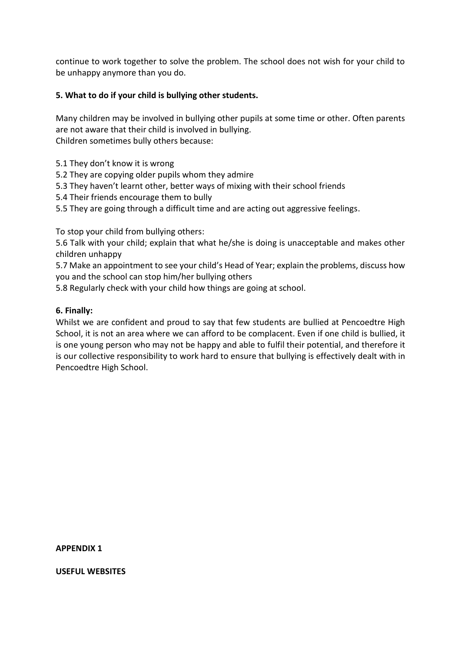continue to work together to solve the problem. The school does not wish for your child to be unhappy anymore than you do.

#### **5. What to do if your child is bullying other students.**

Many children may be involved in bullying other pupils at some time or other. Often parents are not aware that their child is involved in bullying. Children sometimes bully others because:

- 5.1 They don't know it is wrong
- 5.2 They are copying older pupils whom they admire
- 5.3 They haven't learnt other, better ways of mixing with their school friends
- 5.4 Their friends encourage them to bully
- 5.5 They are going through a difficult time and are acting out aggressive feelings.

To stop your child from bullying others:

5.6 Talk with your child; explain that what he/she is doing is unacceptable and makes other children unhappy

5.7 Make an appointment to see your child's Head of Year; explain the problems, discuss how you and the school can stop him/her bullying others

5.8 Regularly check with your child how things are going at school.

#### **6. Finally:**

Whilst we are confident and proud to say that few students are bullied at Pencoedtre High School, it is not an area where we can afford to be complacent. Even if one child is bullied, it is one young person who may not be happy and able to fulfil their potential, and therefore it is our collective responsibility to work hard to ensure that bullying is effectively dealt with in Pencoedtre High School.

**APPENDIX 1**

**USEFUL WEBSITES**